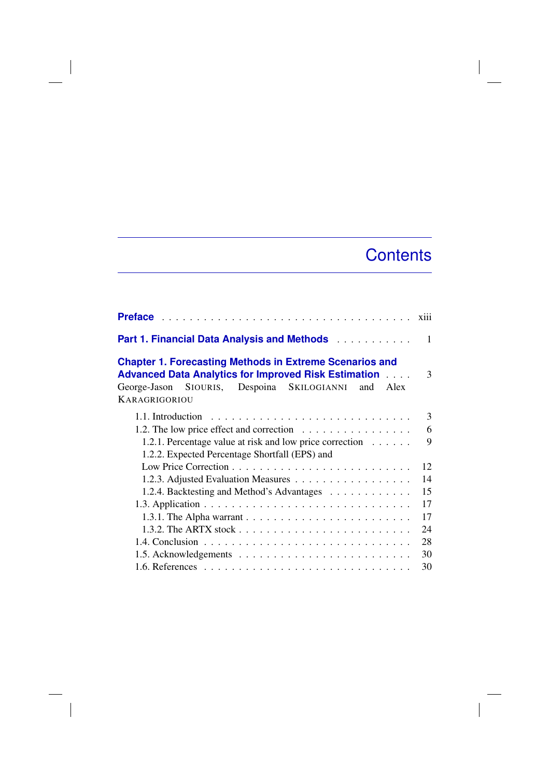## **Contents**

 $\overline{\phantom{a}}$ 

| Part 1. Financial Data Analysis and Methods                                                                                                                                                                        | 1  |
|--------------------------------------------------------------------------------------------------------------------------------------------------------------------------------------------------------------------|----|
| <b>Chapter 1. Forecasting Methods in Extreme Scenarios and</b><br><b>Advanced Data Analytics for Improved Risk Estimation Action</b><br>George-Jason SIOURIS, Despoina SKILOGIANNI<br>Alex<br>and<br>KARAGRIGORIOU | 3  |
|                                                                                                                                                                                                                    | 3  |
| 1.2. The low price effect and correction $\dots \dots \dots \dots \dots$                                                                                                                                           | 6  |
| 1.2.1. Percentage value at risk and low price correction                                                                                                                                                           | 9  |
| 1.2.2. Expected Percentage Shortfall (EPS) and                                                                                                                                                                     |    |
|                                                                                                                                                                                                                    | 12 |
|                                                                                                                                                                                                                    | 14 |
| 1.2.4. Backtesting and Method's Advantages                                                                                                                                                                         | 15 |
|                                                                                                                                                                                                                    | 17 |
|                                                                                                                                                                                                                    | 17 |
|                                                                                                                                                                                                                    | 24 |
|                                                                                                                                                                                                                    | 28 |
|                                                                                                                                                                                                                    | 30 |
|                                                                                                                                                                                                                    | 30 |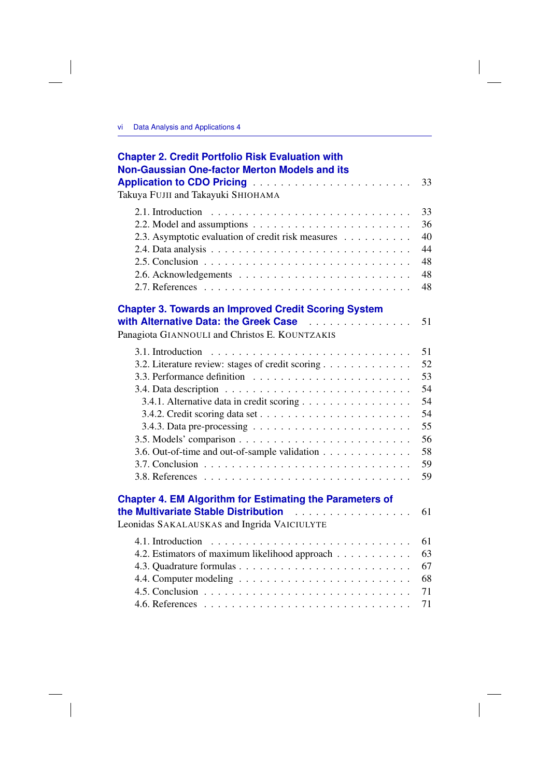$\begin{array}{c} \hline \end{array}$ 

| 33<br>36<br>2.2. Model and assumptions $\ldots \ldots \ldots \ldots \ldots \ldots \ldots$<br>40<br>2.3. Asymptotic evaluation of credit risk measures<br>44<br>48<br>48<br>48<br>with Alternative Data: the Greek Case<br>51<br>Panagiota GIANNOULI and Christos E. KOUNTZAKIS<br>51<br>52<br>3.2. Literature review: stages of credit scoring<br>53<br>54<br>3.4. Data description $\ldots \ldots \ldots \ldots \ldots \ldots \ldots \ldots \ldots$<br>54<br>3.4.1. Alternative data in credit scoring<br>54<br>55<br>3.4.3. Data pre-processing $\ldots \ldots \ldots \ldots \ldots \ldots \ldots$<br>56<br>58<br>3.6. Out-of-time and out-of-sample validation<br>59<br>59<br>.<br>61<br>61<br>4.2. Estimators of maximum likelihood approach<br>63<br>67<br>68 | <b>Chapter 2. Credit Portfolio Risk Evaluation with</b><br><b>Non-Gaussian One-factor Merton Models and its</b> |    |
|--------------------------------------------------------------------------------------------------------------------------------------------------------------------------------------------------------------------------------------------------------------------------------------------------------------------------------------------------------------------------------------------------------------------------------------------------------------------------------------------------------------------------------------------------------------------------------------------------------------------------------------------------------------------------------------------------------------------------------------------------------------------|-----------------------------------------------------------------------------------------------------------------|----|
|                                                                                                                                                                                                                                                                                                                                                                                                                                                                                                                                                                                                                                                                                                                                                                    | <b>Application to CDO Pricing </b><br>Takuya FUJII and Takayuki SHIOHAMA                                        | 33 |
|                                                                                                                                                                                                                                                                                                                                                                                                                                                                                                                                                                                                                                                                                                                                                                    |                                                                                                                 |    |
|                                                                                                                                                                                                                                                                                                                                                                                                                                                                                                                                                                                                                                                                                                                                                                    |                                                                                                                 |    |
|                                                                                                                                                                                                                                                                                                                                                                                                                                                                                                                                                                                                                                                                                                                                                                    |                                                                                                                 |    |
|                                                                                                                                                                                                                                                                                                                                                                                                                                                                                                                                                                                                                                                                                                                                                                    |                                                                                                                 |    |
|                                                                                                                                                                                                                                                                                                                                                                                                                                                                                                                                                                                                                                                                                                                                                                    |                                                                                                                 |    |
|                                                                                                                                                                                                                                                                                                                                                                                                                                                                                                                                                                                                                                                                                                                                                                    |                                                                                                                 |    |
|                                                                                                                                                                                                                                                                                                                                                                                                                                                                                                                                                                                                                                                                                                                                                                    |                                                                                                                 |    |
|                                                                                                                                                                                                                                                                                                                                                                                                                                                                                                                                                                                                                                                                                                                                                                    | <b>Chapter 3. Towards an Improved Credit Scoring System</b>                                                     |    |
|                                                                                                                                                                                                                                                                                                                                                                                                                                                                                                                                                                                                                                                                                                                                                                    |                                                                                                                 |    |
|                                                                                                                                                                                                                                                                                                                                                                                                                                                                                                                                                                                                                                                                                                                                                                    |                                                                                                                 |    |
|                                                                                                                                                                                                                                                                                                                                                                                                                                                                                                                                                                                                                                                                                                                                                                    |                                                                                                                 |    |
|                                                                                                                                                                                                                                                                                                                                                                                                                                                                                                                                                                                                                                                                                                                                                                    |                                                                                                                 |    |
|                                                                                                                                                                                                                                                                                                                                                                                                                                                                                                                                                                                                                                                                                                                                                                    |                                                                                                                 |    |
|                                                                                                                                                                                                                                                                                                                                                                                                                                                                                                                                                                                                                                                                                                                                                                    |                                                                                                                 |    |
|                                                                                                                                                                                                                                                                                                                                                                                                                                                                                                                                                                                                                                                                                                                                                                    |                                                                                                                 |    |
|                                                                                                                                                                                                                                                                                                                                                                                                                                                                                                                                                                                                                                                                                                                                                                    |                                                                                                                 |    |
|                                                                                                                                                                                                                                                                                                                                                                                                                                                                                                                                                                                                                                                                                                                                                                    |                                                                                                                 |    |
|                                                                                                                                                                                                                                                                                                                                                                                                                                                                                                                                                                                                                                                                                                                                                                    |                                                                                                                 |    |
|                                                                                                                                                                                                                                                                                                                                                                                                                                                                                                                                                                                                                                                                                                                                                                    |                                                                                                                 |    |
|                                                                                                                                                                                                                                                                                                                                                                                                                                                                                                                                                                                                                                                                                                                                                                    |                                                                                                                 |    |
|                                                                                                                                                                                                                                                                                                                                                                                                                                                                                                                                                                                                                                                                                                                                                                    |                                                                                                                 |    |
|                                                                                                                                                                                                                                                                                                                                                                                                                                                                                                                                                                                                                                                                                                                                                                    | <b>Chapter 4. EM Algorithm for Estimating the Parameters of</b><br>the Multivariate Stable Distribution         |    |
|                                                                                                                                                                                                                                                                                                                                                                                                                                                                                                                                                                                                                                                                                                                                                                    | Leonidas SAKALAUSKAS and Ingrida VAICIULYTE                                                                     |    |
|                                                                                                                                                                                                                                                                                                                                                                                                                                                                                                                                                                                                                                                                                                                                                                    |                                                                                                                 |    |
|                                                                                                                                                                                                                                                                                                                                                                                                                                                                                                                                                                                                                                                                                                                                                                    |                                                                                                                 |    |
|                                                                                                                                                                                                                                                                                                                                                                                                                                                                                                                                                                                                                                                                                                                                                                    |                                                                                                                 |    |
|                                                                                                                                                                                                                                                                                                                                                                                                                                                                                                                                                                                                                                                                                                                                                                    |                                                                                                                 |    |
|                                                                                                                                                                                                                                                                                                                                                                                                                                                                                                                                                                                                                                                                                                                                                                    |                                                                                                                 | 71 |
| 71                                                                                                                                                                                                                                                                                                                                                                                                                                                                                                                                                                                                                                                                                                                                                                 |                                                                                                                 |    |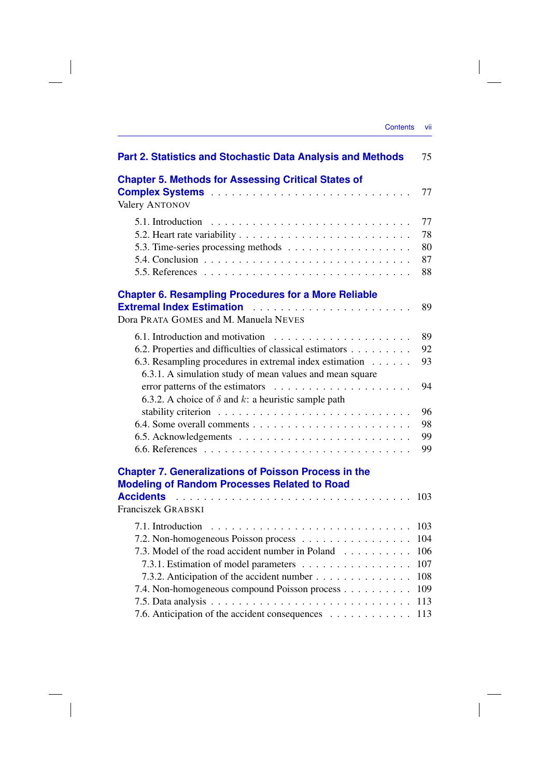| Part 2. Statistics and Stochastic Data Analysis and Methods                                                                                                                                                                                                                        | 75                                                   |
|------------------------------------------------------------------------------------------------------------------------------------------------------------------------------------------------------------------------------------------------------------------------------------|------------------------------------------------------|
| <b>Chapter 5. Methods for Assessing Critical States of</b><br><b>Valery ANTONOV</b>                                                                                                                                                                                                | 77                                                   |
| 5.1. Introduction                                                                                                                                                                                                                                                                  | 77<br>78<br>80<br>87<br>88                           |
| <b>Chapter 6. Resampling Procedures for a More Reliable</b><br>Dora PRATA GOMES and M. Manuela NEVES                                                                                                                                                                               | 89                                                   |
| 6.2. Properties and difficulties of classical estimators<br>6.3. Resampling procedures in extremal index estimation<br>6.3.1. A simulation study of mean values and mean square                                                                                                    | 89<br>92<br>93                                       |
| 6.3.2. A choice of $\delta$ and $k$ : a heuristic sample path                                                                                                                                                                                                                      | 94<br>96<br>98<br>99<br>99                           |
| <b>Chapter 7. Generalizations of Poisson Process in the</b><br><b>Modeling of Random Processes Related to Road</b><br><b>Accidents</b><br>Franciszek GRABSKI                                                                                                                       | 103                                                  |
| 7.2. Non-homogeneous Poisson process<br>7.3. Model of the road accident number in Poland<br>7.3.1. Estimation of model parameters<br>7.3.2. Anticipation of the accident number<br>7.4. Non-homogeneous compound Poisson process<br>7.6. Anticipation of the accident consequences | 103<br>104<br>106<br>107<br>108<br>109<br>113<br>113 |

 $\overline{\phantom{a}}$ 

 $\begin{array}{c} \hline \end{array}$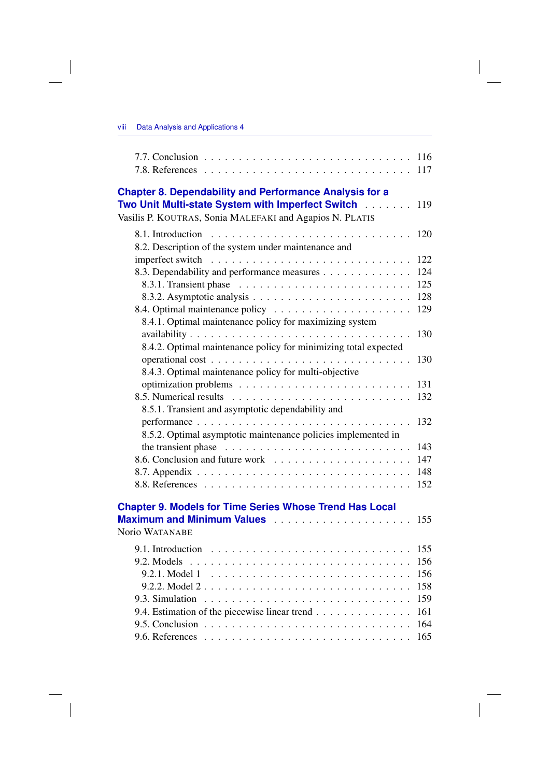$\begin{array}{c} \hline \end{array}$ 

| <b>Chapter 8. Dependability and Performance Analysis for a</b>                                                                                                      |     |
|---------------------------------------------------------------------------------------------------------------------------------------------------------------------|-----|
| Two Unit Multi-state System with Imperfect Switch [19]                                                                                                              | 119 |
| Vasilis P. KOUTRAS, Sonia MALEFAKI and Agapios N. PLATIS                                                                                                            |     |
|                                                                                                                                                                     | 120 |
| 8.2. Description of the system under maintenance and                                                                                                                |     |
|                                                                                                                                                                     | 122 |
| 8.3. Dependability and performance measures                                                                                                                         | 124 |
|                                                                                                                                                                     | 125 |
|                                                                                                                                                                     | 128 |
|                                                                                                                                                                     | 129 |
| 8.4.1. Optimal maintenance policy for maximizing system                                                                                                             |     |
|                                                                                                                                                                     | 130 |
| 8.4.2. Optimal maintenance policy for minimizing total expected                                                                                                     |     |
|                                                                                                                                                                     | 130 |
| 8.4.3. Optimal maintenance policy for multi-objective                                                                                                               |     |
|                                                                                                                                                                     | 131 |
|                                                                                                                                                                     | 132 |
| 8.5.1. Transient and asymptotic dependability and                                                                                                                   |     |
|                                                                                                                                                                     | 132 |
| 8.5.2. Optimal asymptotic maintenance policies implemented in                                                                                                       |     |
| the transient phase $\ldots \ldots \ldots \ldots \ldots \ldots \ldots \ldots$                                                                                       | 143 |
|                                                                                                                                                                     | 147 |
|                                                                                                                                                                     | 148 |
|                                                                                                                                                                     | 152 |
|                                                                                                                                                                     |     |
| <b>Chapter 9. Models for Time Series Whose Trend Has Local</b><br>Maximum and Minimum Values <b>Constant Contains and Minimum Values Constant Constant Constant</b> | 155 |
| Norio WATANABE                                                                                                                                                      |     |
|                                                                                                                                                                     |     |
|                                                                                                                                                                     |     |
|                                                                                                                                                                     |     |
| 9.2.1. Model 1                                                                                                                                                      | 156 |
|                                                                                                                                                                     | 158 |
|                                                                                                                                                                     | 159 |
| 9.4. Estimation of the piecewise linear trend                                                                                                                       | 161 |
|                                                                                                                                                                     | 164 |
|                                                                                                                                                                     | 165 |

 $\Big|$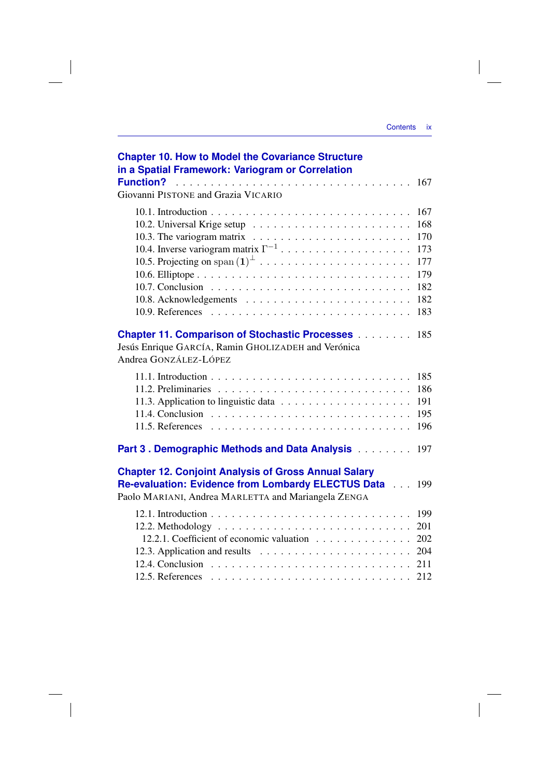| <b>Contents</b> | IX |
|-----------------|----|
|                 |    |
|                 |    |

| <b>Chapter 10. How to Model the Covariance Structure</b><br>in a Spatial Framework: Variogram or Correlation                                                             |                                 |
|--------------------------------------------------------------------------------------------------------------------------------------------------------------------------|---------------------------------|
| Giovanni PISTONE and Grazia VICARIO                                                                                                                                      |                                 |
|                                                                                                                                                                          | 167<br>168<br>170               |
|                                                                                                                                                                          | 173<br>177<br>179               |
|                                                                                                                                                                          | 182<br>182<br>183               |
| <b>Chapter 11. Comparison of Stochastic Processes</b><br>Jesús Enrique GARCÍA, Ramin GHOLIZADEH and Verónica<br>Andrea GONZÁLEZ-LÓPEZ                                    | 185                             |
|                                                                                                                                                                          | 185<br>186<br>191<br>195<br>196 |
| Part 3. Demographic Methods and Data Analysis                                                                                                                            | 197                             |
| <b>Chapter 12. Conjoint Analysis of Gross Annual Salary</b><br>Re-evaluation: Evidence from Lombardy ELECTUS Data<br>Paolo MARIANI, Andrea MARLETTA and Mariangela ZENGA | 199                             |
| 12.2.1. Coefficient of economic valuation                                                                                                                                | 199<br>201<br>202<br>204        |
|                                                                                                                                                                          | 212                             |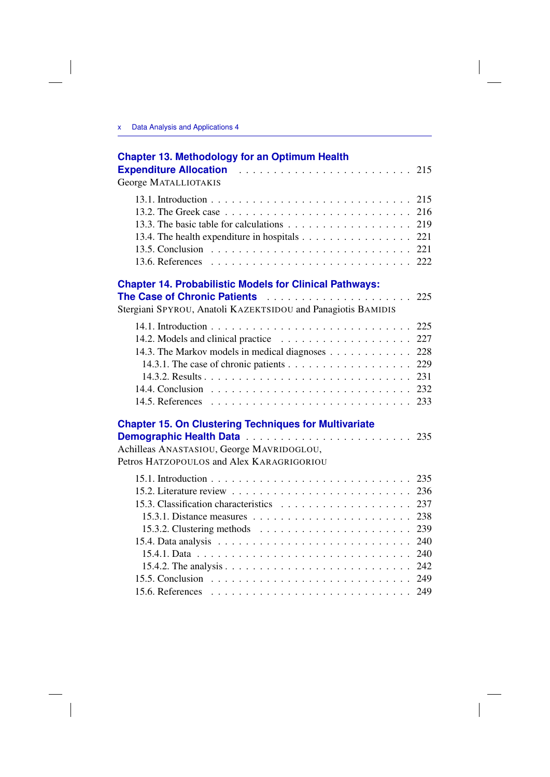| <b>Chapter 13. Methodology for an Optimum Health</b>                                                                                                                                                                                                                                                                                             |                                                                    |
|--------------------------------------------------------------------------------------------------------------------------------------------------------------------------------------------------------------------------------------------------------------------------------------------------------------------------------------------------|--------------------------------------------------------------------|
| George MATALLIOTAKIS                                                                                                                                                                                                                                                                                                                             |                                                                    |
|                                                                                                                                                                                                                                                                                                                                                  | 215<br>216<br>219<br>221<br>221                                    |
| <b>Chapter 14. Probabilistic Models for Clinical Pathways:</b>                                                                                                                                                                                                                                                                                   |                                                                    |
|                                                                                                                                                                                                                                                                                                                                                  | 225                                                                |
| Stergiani SPYROU, Anatoli KAZEKTSIDOU and Panagiotis BAMIDIS                                                                                                                                                                                                                                                                                     |                                                                    |
| 14.3. The Markov models in medical diagnoses<br><b>Chapter 15. On Clustering Techniques for Multivariate</b>                                                                                                                                                                                                                                     | 227<br>228<br>229<br>231                                           |
| Achilleas ANASTASIOU, George MAVRIDOGLOU,<br>Petros HATZOPOULOS and Alex KARAGRIGORIOU                                                                                                                                                                                                                                                           |                                                                    |
| 15.2. Literature review $\ldots \ldots \ldots \ldots \ldots \ldots \ldots \ldots$<br>15.3.1. Distance measures $\ldots \ldots \ldots \ldots \ldots \ldots \ldots$<br>15.3.2. Clustering methods $\dots \dots \dots \dots \dots \dots \dots \dots$<br>15.4. Data analysis $\ldots \ldots \ldots \ldots \ldots \ldots \ldots \ldots \ldots \ldots$ | 235<br>236<br>237<br>238<br>239<br>240<br>240<br>242<br>249<br>249 |
|                                                                                                                                                                                                                                                                                                                                                  |                                                                    |